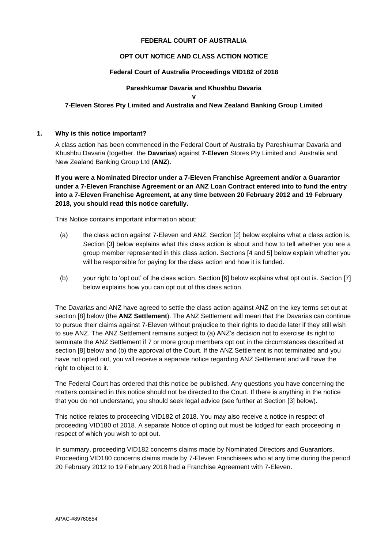## **FEDERAL COURT OF AUSTRALIA**

## **OPT OUT NOTICE AND CLASS ACTION NOTICE**

## **Federal Court of Australia Proceedings VID182 of 2018**

## **Pareshkumar Davaria and Khushbu Davaria**

**v 7-Eleven Stores Pty Limited and Australia and New Zealand Banking Group Limited**

### **1. Why is this notice important?**

A class action has been commenced in the Federal Court of Australia by Pareshkumar Davaria and Khushbu Davaria (together, the **Davarias**) against **7-Eleven** Stores Pty Limited and Australia and New Zealand Banking Group Ltd (**ANZ**)**.**

**If you were a Nominated Director under a 7-Eleven Franchise Agreement and/or a Guarantor under a 7-Eleven Franchise Agreement or an ANZ Loan Contract entered into to fund the entry into a 7-Eleven Franchise Agreement, at any time between 20 February 2012 and 19 February 2018, you should read this notice carefully.**

This Notice contains important information about:

- (a) the class action against 7-Eleven and ANZ. Section [2] below explains what a class action is. Section [3] below explains what this class action is about and how to tell whether you are a group member represented in this class action. Sections [4 and 5] below explain whether you will be responsible for paying for the class action and how it is funded.
- (b) your right to 'opt out' of the class action. Section [6] below explains what opt out is. Section [7] below explains how you can opt out of this class action.

The Davarias and ANZ have agreed to settle the class action against ANZ on the key terms set out at section [8] below (the **ANZ Settlement**). The ANZ Settlement will mean that the Davarias can continue to pursue their claims against 7-Eleven without prejudice to their rights to decide later if they still wish to sue ANZ. The ANZ Settlement remains subject to (a) ANZ's decision not to exercise its right to terminate the ANZ Settlement if 7 or more group members opt out in the circumstances described at section [8] below and (b) the approval of the Court. If the ANZ Settlement is not terminated and you have not opted out, you will receive a separate notice regarding ANZ Settlement and will have the right to object to it.

The Federal Court has ordered that this notice be published. Any questions you have concerning the matters contained in this notice should not be directed to the Court. If there is anything in the notice that you do not understand, you should seek legal advice (see further at Section [3] below).

This notice relates to proceeding VID182 of 2018. You may also receive a notice in respect of proceeding VID180 of 2018. A separate Notice of opting out must be lodged for each proceeding in respect of which you wish to opt out.

In summary, proceeding VID182 concerns claims made by Nominated Directors and Guarantors. Proceeding VID180 concerns claims made by 7-Eleven Franchisees who at any time during the period 20 February 2012 to 19 February 2018 had a Franchise Agreement with 7-Eleven.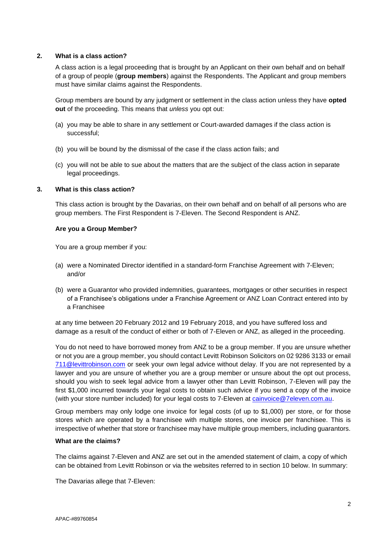## **2. What is a class action?**

A class action is a legal proceeding that is brought by an Applicant on their own behalf and on behalf of a group of people (**group members**) against the Respondents. The Applicant and group members must have similar claims against the Respondents.

Group members are bound by any judgment or settlement in the class action unless they have **opted out** of the proceeding. This means that *unless* you opt out:

- (a) you may be able to share in any settlement or Court-awarded damages if the class action is successful;
- (b) you will be bound by the dismissal of the case if the class action fails; and
- (c) you will not be able to sue about the matters that are the subject of the class action in separate legal proceedings.

### **3. What is this class action?**

This class action is brought by the Davarias, on their own behalf and on behalf of all persons who are group members. The First Respondent is 7-Eleven. The Second Respondent is ANZ.

### **Are you a Group Member?**

You are a group member if you:

- (a) were a Nominated Director identified in a standard-form Franchise Agreement with 7-Eleven; and/or
- (b) were a Guarantor who provided indemnities, guarantees, mortgages or other securities in respect of a Franchisee's obligations under a Franchise Agreement or ANZ Loan Contract entered into by a Franchisee

at any time between 20 February 2012 and 19 February 2018, and you have suffered loss and damage as a result of the conduct of either or both of 7-Eleven or ANZ, as alleged in the proceeding.

You do not need to have borrowed money from ANZ to be a group member. If you are unsure whether or not you are a group member, you should contact Levitt Robinson Solicitors on 02 9286 3133 or email [711@levittrobinson.com](mailto:711@levittrobinson.com) or seek your own legal advice without delay. If you are not represented by a lawyer and you are unsure of whether you are a group member or unsure about the opt out process, should you wish to seek legal advice from a lawyer other than Levitt Robinson, 7-Eleven will pay the first \$1,000 incurred towards your legal costs to obtain such advice if you send a copy of the invoice (with your store number included) for your legal costs to 7-Eleven at [cainvoice@7eleven.com.au.](mailto:cainvoice@7eleven.com.au)

Group members may only lodge one invoice for legal costs (of up to \$1,000) per store, or for those stores which are operated by a franchisee with multiple stores, one invoice per franchisee. This is irrespective of whether that store or franchisee may have multiple group members, including guarantors.

## **What are the claims?**

The claims against 7-Eleven and ANZ are set out in the amended statement of claim, a copy of which can be obtained from Levitt Robinson or via the websites referred to in section 10 below. In summary:

The Davarias allege that 7-Eleven: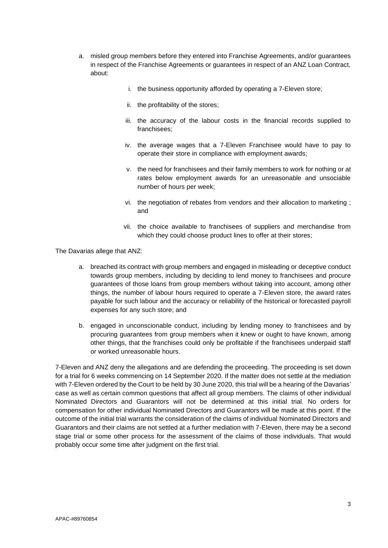- a. misled group members before they entered into Franchise Agreements, and/or guarantees in respect of the Franchise Agreements or guarantees in respect of an ANZ Loan Contract, about:
	- i. the business opportunity afforded by operating a 7-Eleven store;
	- ii. the profitability of the stores;
	- iii. the accuracy of the labour costs in the financial records supplied to franchisees;
	- iv. the average wages that a 7-Eleven Franchisee would have to pay to operate their store in compliance with employment awards;
	- v. the need for franchisees and their family members to work for nothing or at rates below employment awards for an unreasonable and unsociable number of hours per week;
	- vi. the negotiation of rebates from vendors and their allocation to marketing ; and
	- vii. the choice available to franchisees of suppliers and merchandise from which they could choose product lines to offer at their stores;

The Davarias allege that ANZ:

- a. breached its contract with group members and engaged in misleading or deceptive conduct towards group members, including by deciding to lend money to franchisees and procure guarantees of those loans from group members without taking into account, among other things, the number of labour hours required to operate a 7-Eleven store, the award rates payable for such labour and the accuracy or reliability of the historical or forecasted payroll expenses for any such store; and
- b. engaged in unconscionable conduct, including by lending money to franchisees and by procuring guarantees from group members when it knew or ought to have known, among other things, that the franchises could only be profitable if the franchisees underpaid staff or worked unreasonable hours.

7-Eleven and ANZ deny the allegations and are defending the proceeding. The proceeding is set down for a trial for 6 weeks commencing on 14 September 2020. If the matter does not settle at the mediation with 7-Eleven ordered by the Court to be held by 30 June 2020, this trial will be a hearing of the Davarias' case as well as certain common questions that affect all group members. The claims of other individual Nominated Directors and Guarantors will not be determined at this initial trial. No orders for compensation for other individual Nominated Directors and Guarantors will be made at this point. If the outcome of the initial trial warrants the consideration of the claims of individual Nominated Directors and Guarantors and their claims are not settled at a further mediation with 7-Eleven, there may be a second stage trial or some other process for the assessment of the claims of those individuals. That would probably occur some time after judgment on the first trial.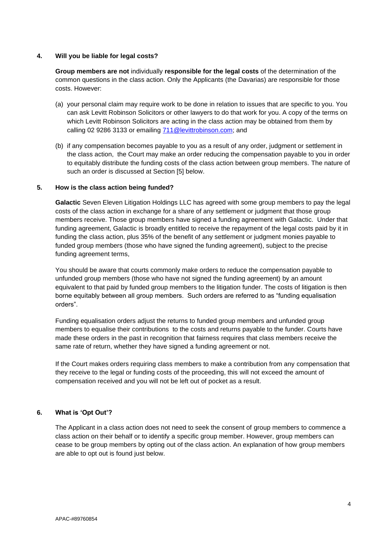### **4. Will you be liable for legal costs?**

**Group members are not** individually **responsible for the legal costs** of the determination of the common questions in the class action. Only the Applicants (the Davarias) are responsible for those costs. However:

- (a) your personal claim may require work to be done in relation to issues that are specific to you. You can ask Levitt Robinson Solicitors or other lawyers to do that work for you. A copy of the terms on which Levitt Robinson Solicitors are acting in the class action may be obtained from them by calling 02 9286 3133 or emailing [711@levittrobinson.com;](mailto:711@levittrobinson.com) and
- (b) if any compensation becomes payable to you as a result of any order, judgment or settlement in the class action, the Court may make an order reducing the compensation payable to you in order to equitably distribute the funding costs of the class action between group members. The nature of such an order is discussed at Section [5] below.

# **5. How is the class action being funded?**

**Galactic** Seven Eleven Litigation Holdings LLC has agreed with some group members to pay the legal costs of the class action in exchange for a share of any settlement or judgment that those group members receive. Those group members have signed a funding agreement with Galactic. Under that funding agreement, Galactic is broadly entitled to receive the repayment of the legal costs paid by it in funding the class action, plus 35% of the benefit of any settlement or judgment monies payable to funded group members (those who have signed the funding agreement), subject to the precise funding agreement terms,

You should be aware that courts commonly make orders to reduce the compensation payable to unfunded group members (those who have not signed the funding agreement) by an amount equivalent to that paid by funded group members to the litigation funder. The costs of litigation is then borne equitably between all group members. Such orders are referred to as "funding equalisation orders".

Funding equalisation orders adjust the returns to funded group members and unfunded group members to equalise their contributions to the costs and returns payable to the funder. Courts have made these orders in the past in recognition that fairness requires that class members receive the same rate of return, whether they have signed a funding agreement or not.

If the Court makes orders requiring class members to make a contribution from any compensation that they receive to the legal or funding costs of the proceeding, this will not exceed the amount of compensation received and you will not be left out of pocket as a result.

# **6. What is 'Opt Out'?**

The Applicant in a class action does not need to seek the consent of group members to commence a class action on their behalf or to identify a specific group member. However, group members can cease to be group members by opting out of the class action. An explanation of how group members are able to opt out is found just below.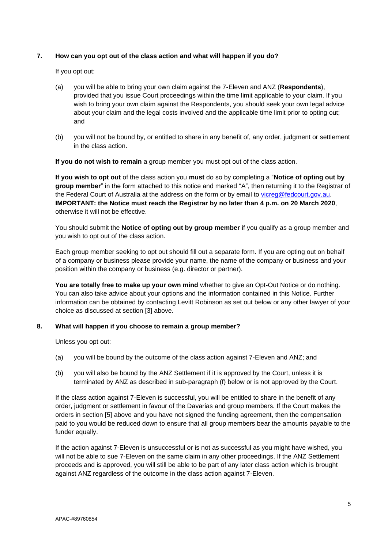# **7. How can you opt out of the class action and what will happen if you do?**

If you opt out:

- (a) you will be able to bring your own claim against the 7-Eleven and ANZ (**Respondents**), provided that you issue Court proceedings within the time limit applicable to your claim. If you wish to bring your own claim against the Respondents, you should seek your own legal advice about your claim and the legal costs involved and the applicable time limit prior to opting out; and
- (b) you will not be bound by, or entitled to share in any benefit of, any order, judgment or settlement in the class action.

**If you do not wish to remain** a group member you must opt out of the class action.

**If you wish to opt out** of the class action you **must** do so by completing a "**Notice of opting out by group member**" in the form attached to this notice and marked "A", then returning it to the Registrar of the Federal Court of Australia at the address on the form or by email to [vicreg@fedcourt.gov.au.](mailto:vicreg@fedcourt.gov.au) **IMPORTANT: the Notice must reach the Registrar by no later than 4 p.m. on 20 March 2020**, otherwise it will not be effective.

You should submit the **Notice of opting out by group member** if you qualify as a group member and you wish to opt out of the class action.

Each group member seeking to opt out should fill out a separate form. If you are opting out on behalf of a company or business please provide your name, the name of the company or business and your position within the company or business (e.g. director or partner).

**You are totally free to make up your own mind** whether to give an Opt-Out Notice or do nothing. You can also take advice about your options and the information contained in this Notice. Further information can be obtained by contacting Levitt Robinson as set out below or any other lawyer of your choice as discussed at section [3] above.

# **8. What will happen if you choose to remain a group member?**

Unless you opt out:

- (a) you will be bound by the outcome of the class action against 7-Eleven and ANZ; and
- (b) you will also be bound by the ANZ Settlement if it is approved by the Court, unless it is terminated by ANZ as described in sub-paragraph (f) below or is not approved by the Court.

If the class action against 7-Eleven is successful, you will be entitled to share in the benefit of any order, judgment or settlement in favour of the Davarias and group members. If the Court makes the orders in section [5] above and you have not signed the funding agreement, then the compensation paid to you would be reduced down to ensure that all group members bear the amounts payable to the funder equally.

If the action against 7-Eleven is unsuccessful or is not as successful as you might have wished, you will not be able to sue 7-Eleven on the same claim in any other proceedings. If the ANZ Settlement proceeds and is approved, you will still be able to be part of any later class action which is brought against ANZ regardless of the outcome in the class action against 7-Eleven.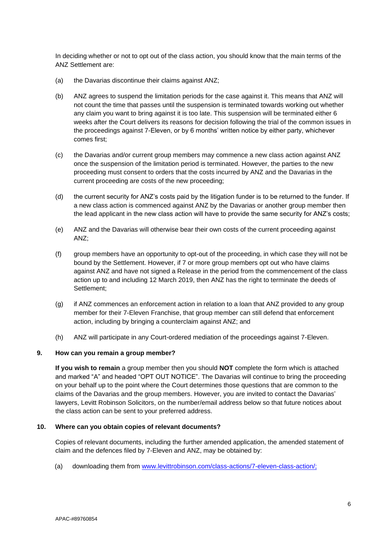In deciding whether or not to opt out of the class action, you should know that the main terms of the ANZ Settlement are:

- (a) the Davarias discontinue their claims against ANZ;
- (b) ANZ agrees to suspend the limitation periods for the case against it. This means that ANZ will not count the time that passes until the suspension is terminated towards working out whether any claim you want to bring against it is too late. This suspension will be terminated either 6 weeks after the Court delivers its reasons for decision following the trial of the common issues in the proceedings against 7-Eleven, or by 6 months' written notice by either party, whichever comes first;
- (c) the Davarias and/or current group members may commence a new class action against ANZ once the suspension of the limitation period is terminated. However, the parties to the new proceeding must consent to orders that the costs incurred by ANZ and the Davarias in the current proceeding are costs of the new proceeding;
- (d) the current security for ANZ's costs paid by the litigation funder is to be returned to the funder. If a new class action is commenced against ANZ by the Davarias or another group member then the lead applicant in the new class action will have to provide the same security for ANZ's costs;
- (e) ANZ and the Davarias will otherwise bear their own costs of the current proceeding against ANZ;
- (f) group members have an opportunity to opt-out of the proceeding, in which case they will not be bound by the Settlement. However, if 7 or more group members opt out who have claims against ANZ and have not signed a Release in the period from the commencement of the class action up to and including 12 March 2019, then ANZ has the right to terminate the deeds of Settlement;
- (g) if ANZ commences an enforcement action in relation to a loan that ANZ provided to any group member for their 7-Eleven Franchise, that group member can still defend that enforcement action, including by bringing a counterclaim against ANZ; and
- (h) ANZ will participate in any Court-ordered mediation of the proceedings against 7-Eleven.

### **9. How can you remain a group member?**

**If you wish to remain** a group member then you should **NOT** complete the form which is attached and marked "A" and headed "OPT OUT NOTICE". The Davarias will continue to bring the proceeding on your behalf up to the point where the Court determines those questions that are common to the claims of the Davarias and the group members. However, you are invited to contact the Davarias' lawyers, Levitt Robinson Solicitors, on the number/email address below so that future notices about the class action can be sent to your preferred address.

### **10. Where can you obtain copies of relevant documents?**

Copies of relevant documents, including the further amended application, the amended statement of claim and the defences filed by 7-Eleven and ANZ, may be obtained by:

(a) downloading them from [www.levittrobinson.com/class-actions/7-eleven-class-action/;](http://www.levittrobinson.com/class-actions/7-eleven-class-action/)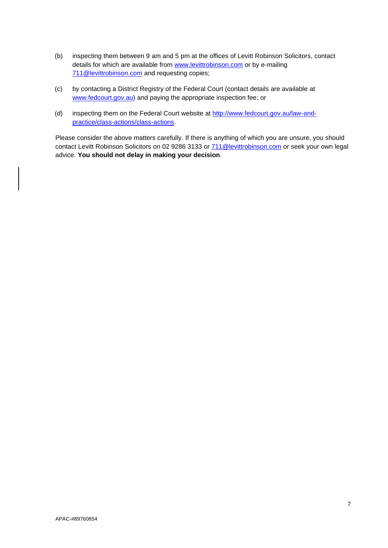- (b) inspecting them between 9 am and 5 pm at the offices of Levitt Robinson Solicitors, contact details for which are available from [www.levittrobinson.com](http://www.levittrobinson.com/) or by e-mailing [711@levittrobinson.com](mailto:711@levittrobinson.com) and requesting copies;
- (c) by contacting a District Registry of the Federal Court (contact details are available at [www.fedcourt.gov.au\)](http://www.fedcourt.gov.au/) and paying the appropriate inspection fee; or
- (d) inspecting them on the Federal Court website at [http://www.fedcourt.gov.au/law-and](http://www.fedcourt.gov.au/law-and-practice/class-actions/class-actions)[practice/class-actions/class-actions.](http://www.fedcourt.gov.au/law-and-practice/class-actions/class-actions)

Please consider the above matters carefully. If there is anything of which you are unsure, you should contact Levitt Robinson Solicitors on 02 9286 3133 or  $\frac{711@{\text{levittrobinson.com}}{\text{or}}$  or seek your own legal advice. **You should not delay in making your decision**.